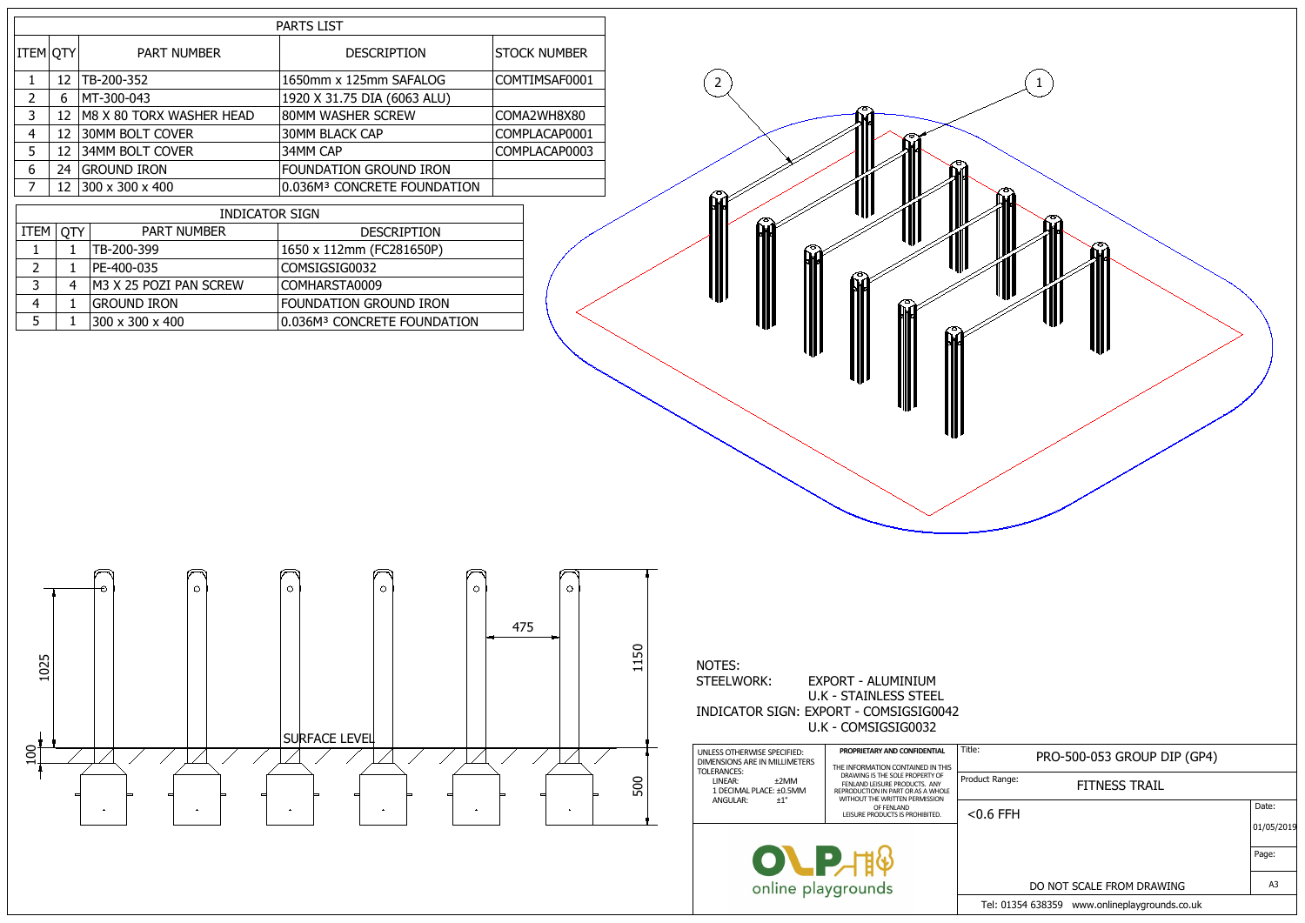| <b>PARTS LIST</b> |     |                          |                                         |                     |
|-------------------|-----|--------------------------|-----------------------------------------|---------------------|
| <b>ITEM OTY</b>   |     | <b>PART NUMBER</b>       | <b>DESCRIPTION</b>                      | <b>STOCK NUMBER</b> |
|                   | 12  | TB-200-352               | 1650mm x 125mm SAFALOG                  | COMTIMSAF0001       |
| 2                 | 6   | MT-300-043               | 1920 X 31.75 DIA (6063 ALU)             |                     |
| 3                 | 12  | M8 X 80 TORX WASHER HEAD | 80MM WASHER SCREW                       | COMA2WH8X80         |
| 4                 | 12  | <b>30MM BOLT COVER</b>   | <b>30MM BLACK CAP</b>                   | COMPLACAP0001       |
| 5                 | 12  | <b>34MM BOLT COVER</b>   | 34MM CAP                                | COMPLACAP0003       |
| 6                 | 24  | <b>GROUND IRON</b>       | FOUNDATION GROUND IRON                  |                     |
|                   | 12. | 300 x 300 x 400          | 0.036M <sup>3</sup> CONCRETE FOUNDATION |                     |

| <b>INDICATOR SIGN</b> |   |                        |                                         |
|-----------------------|---|------------------------|-----------------------------------------|
| <b>ITEM</b>           |   | <b>PART NUMBER</b>     | <b>DESCRIPTION</b>                      |
|                       |   | TB-200-399             | 1650 x 112mm (FC281650P)                |
|                       |   | PE-400-035             | COMSIGSIG0032                           |
| 3                     | 4 | M3 X 25 POZI PAN SCREW | COMHARSTA0009                           |
|                       |   | <b>GROUND IRON</b>     | <b>FOUNDATION GROUND IRON</b>           |
|                       |   | 300 x 300 x 400        | 0.036M <sup>3</sup> CONCRETE FOUNDATION |

| $\mathbf{1}$<br>$\int$<br>c                                                |                |
|----------------------------------------------------------------------------|----------------|
| Title:<br>PRO-500-053 GROUP DIP (GP4)                                      |                |
| Product Range:<br><b>FITNESS TRAIL</b>                                     |                |
| $<$ 0.6 FFH                                                                | Date:          |
|                                                                            | 01/05/2019     |
|                                                                            | Page:          |
|                                                                            |                |
| DO NOT SCALE FROM DRAWING<br>Tel: 01354 638359 www.onlineplaygrounds.co.uk | A <sub>3</sub> |

| UNLESS OTHERWISE SPECIFIED:<br>DIMENSIONS ARE IN MILLIMETERS<br>TOLERANCES:<br>LINEAR:<br>±2MM<br>1 DECIMAL PLACE: ±0.5MM<br>$+1^{\circ}$ | PROPRIETARY AND CONFIDENTIAL<br>THE INFORMATION CONTAINED IN THIS<br>DRAWING IS THE SOLE PROPERTY OF<br>FENLAND LEISURE PRODUCTS. ANY<br>REPRODUCTION IN PART OR AS A WHOLE<br>WITHOUT THE WRITTEN PERMISSION | Title:<br>Produ |
|-------------------------------------------------------------------------------------------------------------------------------------------|---------------------------------------------------------------------------------------------------------------------------------------------------------------------------------------------------------------|-----------------|
| ANGULAR:                                                                                                                                  | OF FENLAND<br>LEISURE PRODUCTS IS PROHIBITED.                                                                                                                                                                 |                 |
|                                                                                                                                           |                                                                                                                                                                                                               |                 |

online playgrounds





NOTES: STEELWORK: EXPORT - ALUMINIUM U.K - STAINLESS STEEL INDICATOR SIGN: EXPORT - COMSIGSIG0042 U.K - COMSIGSIG0032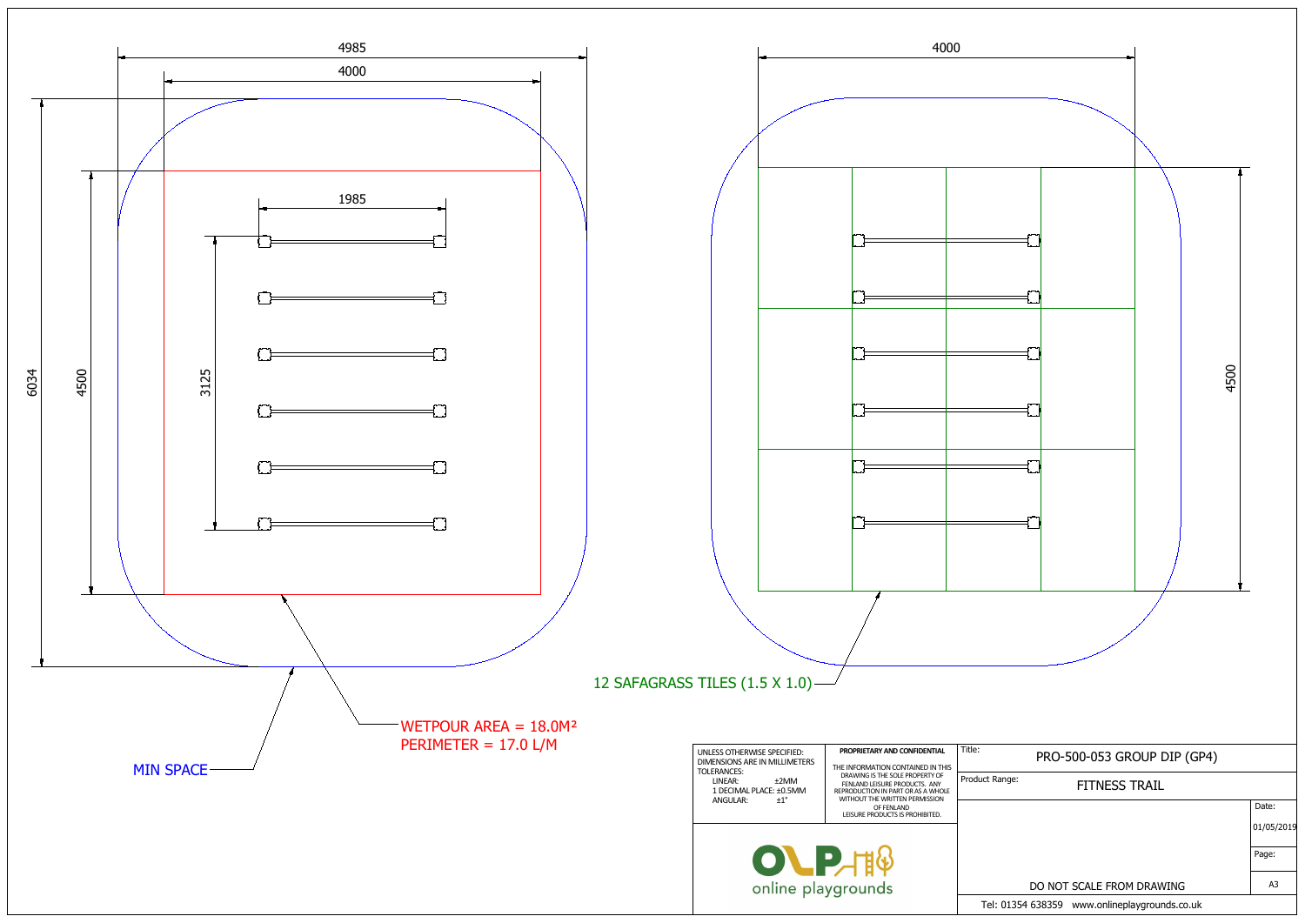

|                                               | 4500 |                     |
|-----------------------------------------------|------|---------------------|
|                                               |      |                     |
|                                               |      |                     |
|                                               |      |                     |
|                                               |      |                     |
|                                               |      |                     |
|                                               |      |                     |
|                                               |      |                     |
|                                               |      |                     |
|                                               |      |                     |
|                                               |      |                     |
|                                               |      |                     |
| 9:<br>PRO-500-053 GROUP DIP (GP4)             |      |                     |
| duct Range:<br><b>FITNESS TRAIL</b>           |      |                     |
|                                               |      | Date:<br>01/05/2019 |
|                                               |      | Page:               |
| DO NOT SCALE FROM DRAWING                     |      | A <sub>3</sub>      |
| Tel: 01354 638359 www.onlineplaygrounds.co.uk |      |                     |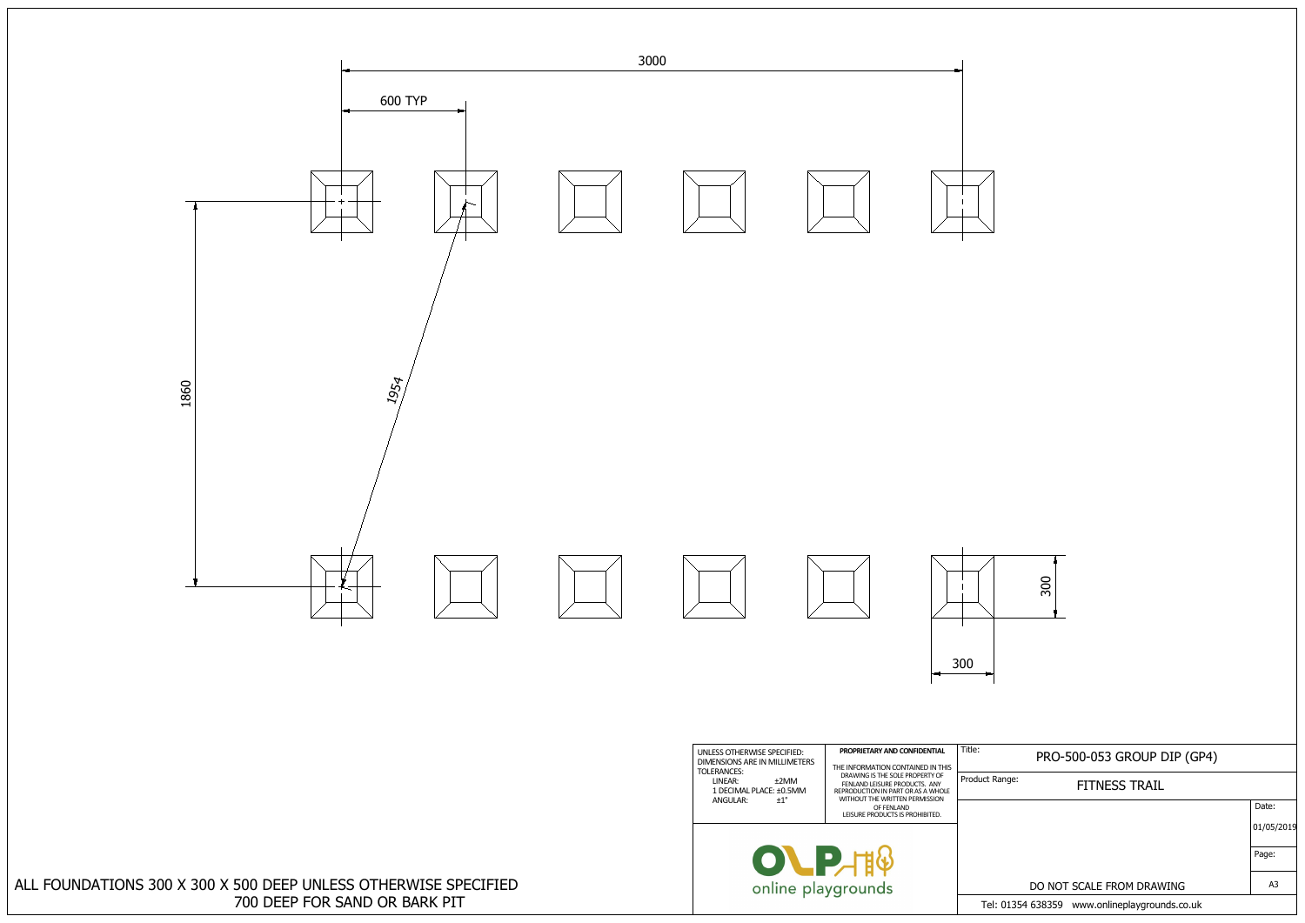|            | PRO-500-053 GROUP DIP (GP4)                   |            |
|------------|-----------------------------------------------|------------|
| ict Range: | <b>FITNESS TRAIL</b>                          |            |
|            |                                               | Date:      |
|            |                                               | 01/05/2019 |
|            |                                               | Page:      |
|            | DO NOT SCALE FROM DRAWING                     | A3         |
|            | Tel: 01354 638359 www.onlineplaygrounds.co.uk |            |